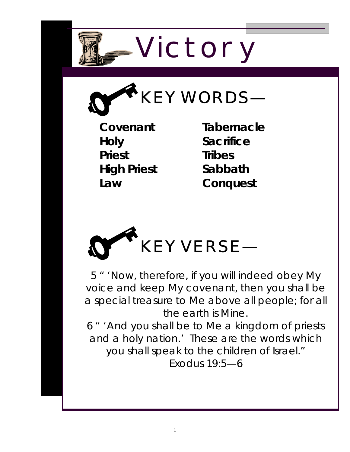



**Covenant Holy Priest High Priest Law** 

**Tabernacle Sacrifice Tribes Sabbath Conquest** 



5 " 'Now, therefore, if you will indeed obey My voice and keep My covenant, then you shall be a special treasure to Me above all people; for all the earth is Mine.

6 " 'And you shall be to Me a kingdom of priests and a holy nation.' These are the words which you shall speak to the children of Israel." Exodus 19:5—6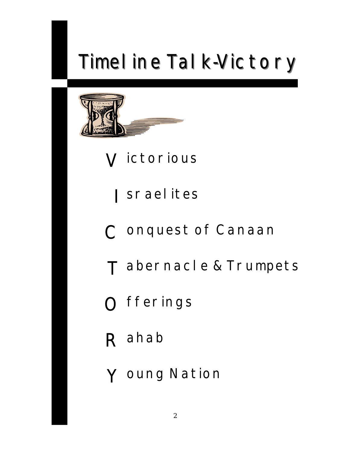# Timel ine Tal k-Victory



- V ictorious
	- Sraelites
- C onquest of Canaan
- T abernacle & Trumpets
- O fferings
- R ahab
- Y oung Nation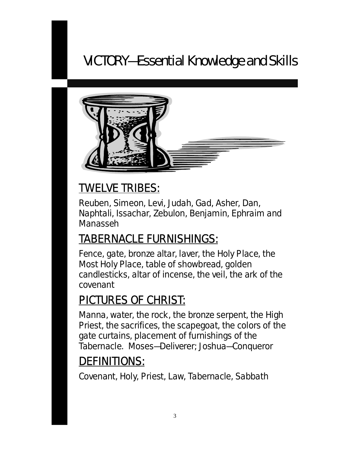## VICTORY—Essential Knowledge and Skills



### TWELVE TRIBES:

Reuben, Simeon, Levi, Judah, Gad, Asher, Dan, Naphtali, Issachar, Zebulon, Benjamin, Ephraim and Manasseh

### TABERNACLE FURNISHINGS:

Fence, gate, bronze altar, laver, the Holy Place, the Most Holy Place, table of showbread, golden candlesticks, altar of incense, the veil, the ark of the covenant

#### PICTURES OF CHRIST:

Manna, water, the rock, the bronze serpent, the High Priest, the sacrifices, the scapegoat, the colors of the gate curtains, placement of furnishings of the Tabernacle. Moses—Deliverer; Joshua—Conqueror

### DEFINITIONS:

Covenant, Holy, Priest, Law, Tabernacle, Sabbath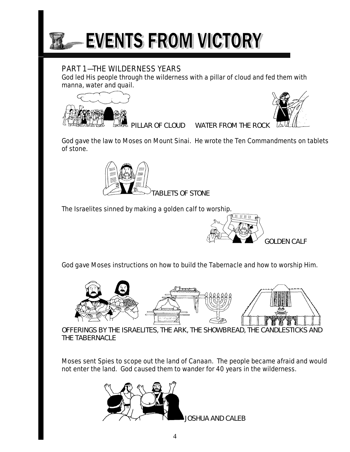

#### PART 1—THE WILDERNESS YEARS

God led His people through the wilderness with a pillar of cloud and fed them with manna, water and quail.





*PILLAR OF CLOUD WATER FROM THE ROCK*

God gave the law to Moses on Mount Sinai. He wrote the Ten Commandments on tablets of stone.



The Israelites sinned by making a golden calf to worship.



God gave Moses instructions on how to build the Tabernacle and how to worship Him.



 *OFFERINGS BY THE ISRAELITES, THE ARK, THE SHOWBREAD, THE CANDLESTICKS AND*  **THE TABERNACLE** 

Moses sent Spies to scope out the land of Canaan. The people became afraid and would not enter the land. God caused them to wander for 40 years in the wilderness.